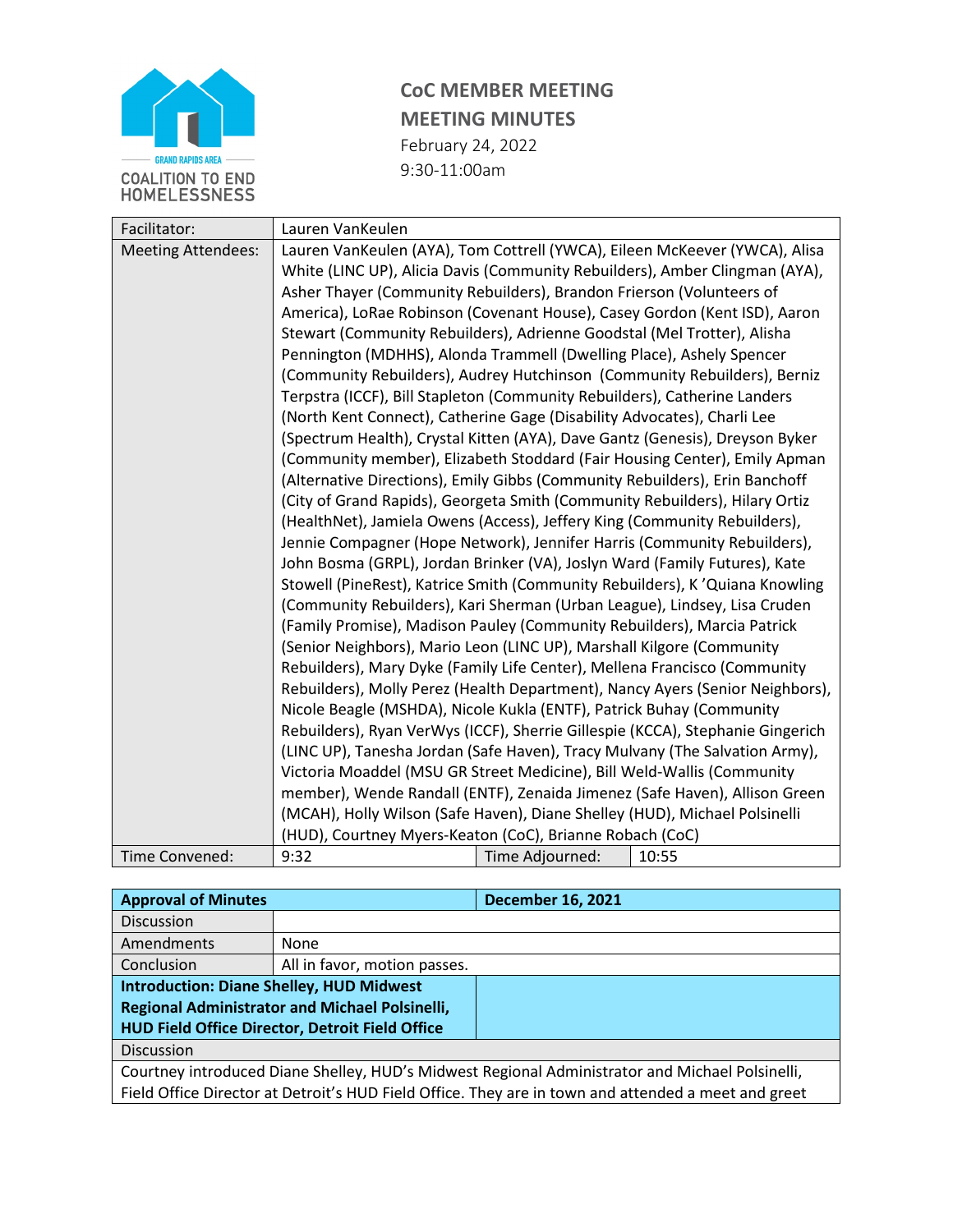

## **CoC MEMBER MEETING MEETING MINUTES** February 24, 2022

9:30-11:00am

| Facilitator:              | Lauren VanKeulen                                                                                                                                                                                                                                                                                                                                                                                                                                                                                                                                                                                                                                                                                                   |                 |       |  |  |  |
|---------------------------|--------------------------------------------------------------------------------------------------------------------------------------------------------------------------------------------------------------------------------------------------------------------------------------------------------------------------------------------------------------------------------------------------------------------------------------------------------------------------------------------------------------------------------------------------------------------------------------------------------------------------------------------------------------------------------------------------------------------|-----------------|-------|--|--|--|
| <b>Meeting Attendees:</b> | Lauren VanKeulen (AYA), Tom Cottrell (YWCA), Eileen McKeever (YWCA), Alisa                                                                                                                                                                                                                                                                                                                                                                                                                                                                                                                                                                                                                                         |                 |       |  |  |  |
|                           | White (LINC UP), Alicia Davis (Community Rebuilders), Amber Clingman (AYA),<br>Asher Thayer (Community Rebuilders), Brandon Frierson (Volunteers of<br>America), LoRae Robinson (Covenant House), Casey Gordon (Kent ISD), Aaron                                                                                                                                                                                                                                                                                                                                                                                                                                                                                   |                 |       |  |  |  |
|                           |                                                                                                                                                                                                                                                                                                                                                                                                                                                                                                                                                                                                                                                                                                                    |                 |       |  |  |  |
|                           |                                                                                                                                                                                                                                                                                                                                                                                                                                                                                                                                                                                                                                                                                                                    |                 |       |  |  |  |
|                           | Stewart (Community Rebuilders), Adrienne Goodstal (Mel Trotter), Alisha                                                                                                                                                                                                                                                                                                                                                                                                                                                                                                                                                                                                                                            |                 |       |  |  |  |
|                           | Pennington (MDHHS), Alonda Trammell (Dwelling Place), Ashely Spencer                                                                                                                                                                                                                                                                                                                                                                                                                                                                                                                                                                                                                                               |                 |       |  |  |  |
|                           | (Community Rebuilders), Audrey Hutchinson (Community Rebuilders), Berniz                                                                                                                                                                                                                                                                                                                                                                                                                                                                                                                                                                                                                                           |                 |       |  |  |  |
|                           | Terpstra (ICCF), Bill Stapleton (Community Rebuilders), Catherine Landers                                                                                                                                                                                                                                                                                                                                                                                                                                                                                                                                                                                                                                          |                 |       |  |  |  |
|                           | (North Kent Connect), Catherine Gage (Disability Advocates), Charli Lee                                                                                                                                                                                                                                                                                                                                                                                                                                                                                                                                                                                                                                            |                 |       |  |  |  |
|                           | (Spectrum Health), Crystal Kitten (AYA), Dave Gantz (Genesis), Dreyson Byker                                                                                                                                                                                                                                                                                                                                                                                                                                                                                                                                                                                                                                       |                 |       |  |  |  |
|                           | (Community member), Elizabeth Stoddard (Fair Housing Center), Emily Apman                                                                                                                                                                                                                                                                                                                                                                                                                                                                                                                                                                                                                                          |                 |       |  |  |  |
|                           | (Alternative Directions), Emily Gibbs (Community Rebuilders), Erin Banchoff                                                                                                                                                                                                                                                                                                                                                                                                                                                                                                                                                                                                                                        |                 |       |  |  |  |
|                           | (City of Grand Rapids), Georgeta Smith (Community Rebuilders), Hilary Ortiz                                                                                                                                                                                                                                                                                                                                                                                                                                                                                                                                                                                                                                        |                 |       |  |  |  |
|                           | (HealthNet), Jamiela Owens (Access), Jeffery King (Community Rebuilders),                                                                                                                                                                                                                                                                                                                                                                                                                                                                                                                                                                                                                                          |                 |       |  |  |  |
|                           | Jennie Compagner (Hope Network), Jennifer Harris (Community Rebuilders),                                                                                                                                                                                                                                                                                                                                                                                                                                                                                                                                                                                                                                           |                 |       |  |  |  |
|                           | John Bosma (GRPL), Jordan Brinker (VA), Joslyn Ward (Family Futures), Kate                                                                                                                                                                                                                                                                                                                                                                                                                                                                                                                                                                                                                                         |                 |       |  |  |  |
|                           | Stowell (PineRest), Katrice Smith (Community Rebuilders), K'Quiana Knowling                                                                                                                                                                                                                                                                                                                                                                                                                                                                                                                                                                                                                                        |                 |       |  |  |  |
|                           | (Community Rebuilders), Kari Sherman (Urban League), Lindsey, Lisa Cruden                                                                                                                                                                                                                                                                                                                                                                                                                                                                                                                                                                                                                                          |                 |       |  |  |  |
|                           | (Family Promise), Madison Pauley (Community Rebuilders), Marcia Patrick                                                                                                                                                                                                                                                                                                                                                                                                                                                                                                                                                                                                                                            |                 |       |  |  |  |
|                           | (Senior Neighbors), Mario Leon (LINC UP), Marshall Kilgore (Community<br>Rebuilders), Mary Dyke (Family Life Center), Mellena Francisco (Community<br>Rebuilders), Molly Perez (Health Department), Nancy Ayers (Senior Neighbors),<br>Nicole Beagle (MSHDA), Nicole Kukla (ENTF), Patrick Buhay (Community<br>Rebuilders), Ryan VerWys (ICCF), Sherrie Gillespie (KCCA), Stephanie Gingerich<br>(LINC UP), Tanesha Jordan (Safe Haven), Tracy Mulvany (The Salvation Army),<br>Victoria Moaddel (MSU GR Street Medicine), Bill Weld-Wallis (Community<br>member), Wende Randall (ENTF), Zenaida Jimenez (Safe Haven), Allison Green<br>(MCAH), Holly Wilson (Safe Haven), Diane Shelley (HUD), Michael Polsinelli |                 |       |  |  |  |
|                           |                                                                                                                                                                                                                                                                                                                                                                                                                                                                                                                                                                                                                                                                                                                    |                 |       |  |  |  |
|                           |                                                                                                                                                                                                                                                                                                                                                                                                                                                                                                                                                                                                                                                                                                                    |                 |       |  |  |  |
|                           |                                                                                                                                                                                                                                                                                                                                                                                                                                                                                                                                                                                                                                                                                                                    |                 |       |  |  |  |
|                           |                                                                                                                                                                                                                                                                                                                                                                                                                                                                                                                                                                                                                                                                                                                    |                 |       |  |  |  |
|                           |                                                                                                                                                                                                                                                                                                                                                                                                                                                                                                                                                                                                                                                                                                                    |                 |       |  |  |  |
|                           |                                                                                                                                                                                                                                                                                                                                                                                                                                                                                                                                                                                                                                                                                                                    |                 |       |  |  |  |
|                           |                                                                                                                                                                                                                                                                                                                                                                                                                                                                                                                                                                                                                                                                                                                    |                 |       |  |  |  |
|                           | (HUD), Courtney Myers-Keaton (CoC), Brianne Robach (CoC)                                                                                                                                                                                                                                                                                                                                                                                                                                                                                                                                                                                                                                                           |                 |       |  |  |  |
| Time Convened:            | 9:32                                                                                                                                                                                                                                                                                                                                                                                                                                                                                                                                                                                                                                                                                                               | Time Adjourned: | 10:55 |  |  |  |

| <b>Approval of Minutes</b>                                                                          |                              | <b>December 16, 2021</b> |  |  |
|-----------------------------------------------------------------------------------------------------|------------------------------|--------------------------|--|--|
| <b>Discussion</b>                                                                                   |                              |                          |  |  |
| Amendments                                                                                          | <b>None</b>                  |                          |  |  |
| Conclusion                                                                                          | All in favor, motion passes. |                          |  |  |
| <b>Introduction: Diane Shelley, HUD Midwest</b>                                                     |                              |                          |  |  |
| <b>Regional Administrator and Michael Polsinelli,</b>                                               |                              |                          |  |  |
| HUD Field Office Director, Detroit Field Office                                                     |                              |                          |  |  |
| <b>Discussion</b>                                                                                   |                              |                          |  |  |
| Courtney introduced Diane Shelley, HUD's Midwest Regional Administrator and Michael Polsinelli,     |                              |                          |  |  |
| Field Office Director at Detroit's HUD Field Office. They are in town and attended a meet and greet |                              |                          |  |  |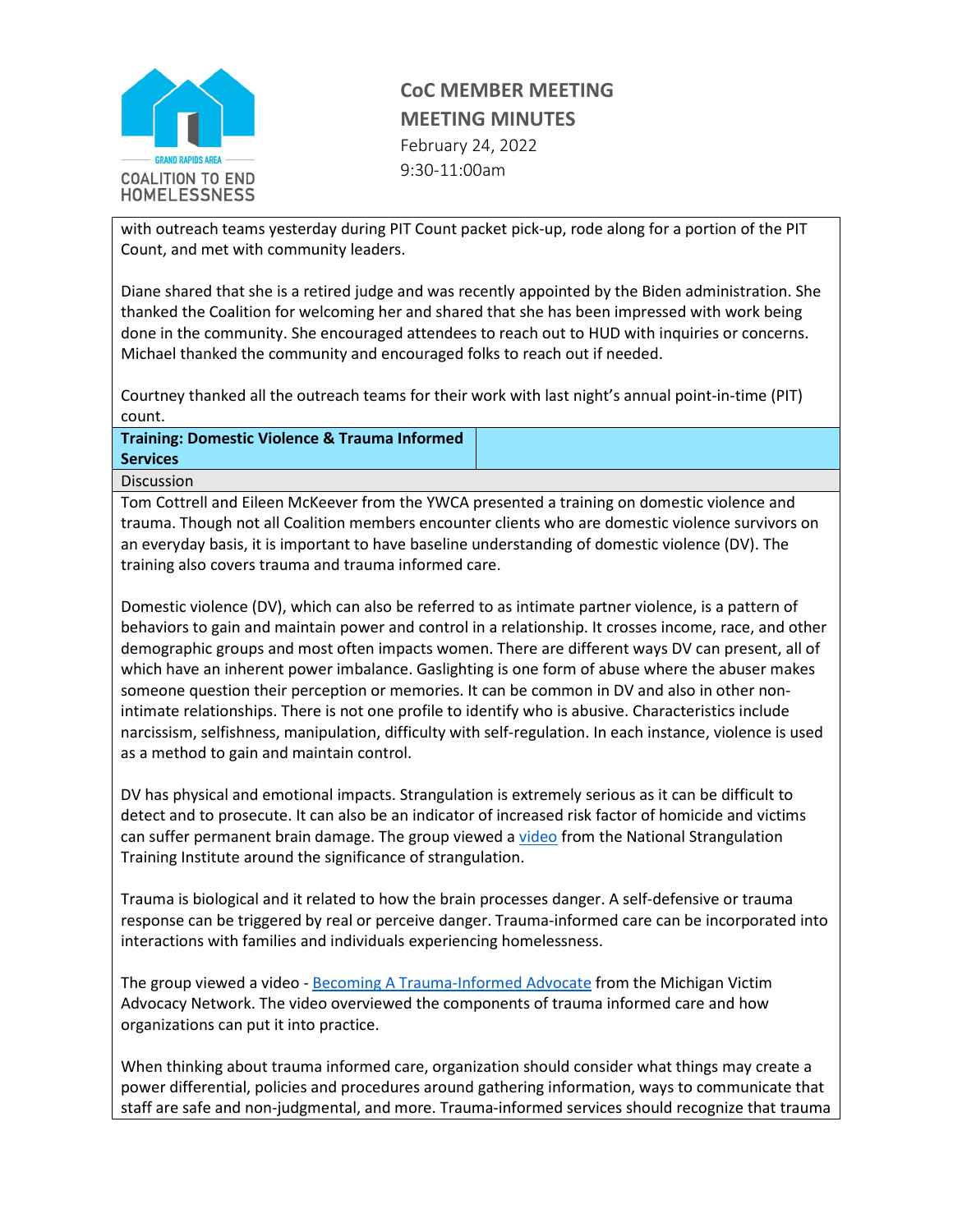

## **CoC MEMBER MEETING MEETING MINUTES** February 24, 2022

9:30-11:00am

with outreach teams yesterday during PIT Count packet pick-up, rode along for a portion of the PIT Count, and met with community leaders.

Diane shared that she is a retired judge and was recently appointed by the Biden administration. She thanked the Coalition for welcoming her and shared that she has been impressed with work being done in the community. She encouraged attendees to reach out to HUD with inquiries or concerns. Michael thanked the community and encouraged folks to reach out if needed.

Courtney thanked all the outreach teams for their work with last night's annual point-in-time (PIT) count.

**Training: Domestic Violence & Trauma Informed Services**

Discussion

Tom Cottrell and Eileen McKeever from the YWCA presented a training on domestic violence and trauma. Though not all Coalition members encounter clients who are domestic violence survivors on an everyday basis, it is important to have baseline understanding of domestic violence (DV). The training also covers trauma and trauma informed care.

Domestic violence (DV), which can also be referred to as intimate partner violence, is a pattern of behaviors to gain and maintain power and control in a relationship. It crosses income, race, and other demographic groups and most often impacts women. There are different ways DV can present, all of which have an inherent power imbalance. Gaslighting is one form of abuse where the abuser makes someone question their perception or memories. It can be common in DV and also in other nonintimate relationships. There is not one profile to identify who is abusive. Characteristics include narcissism, selfishness, manipulation, difficulty with self-regulation. In each instance, violence is used as a method to gain and maintain control.

DV has physical and emotional impacts. Strangulation is extremely serious as it can be difficult to detect and to prosecute. It can also be an indicator of increased risk factor of homicide and victims can suffer permanent brain damage. The group viewed [a video](https://www.youtube.com/watch?v=5gBkvWKCF0w) from the National Strangulation Training Institute around the significance of strangulation.

Trauma is biological and it related to how the brain processes danger. A self-defensive or trauma response can be triggered by real or perceive danger. Trauma-informed care can be incorporated into interactions with families and individuals experiencing homelessness.

The group viewed a video - [Becoming A Trauma-Informed Advocate](https://mivan.org/) from the Michigan Victim Advocacy Network. The video overviewed the components of trauma informed care and how organizations can put it into practice.

When thinking about trauma informed care, organization should consider what things may create a power differential, policies and procedures around gathering information, ways to communicate that staff are safe and non-judgmental, and more. Trauma-informed services should recognize that trauma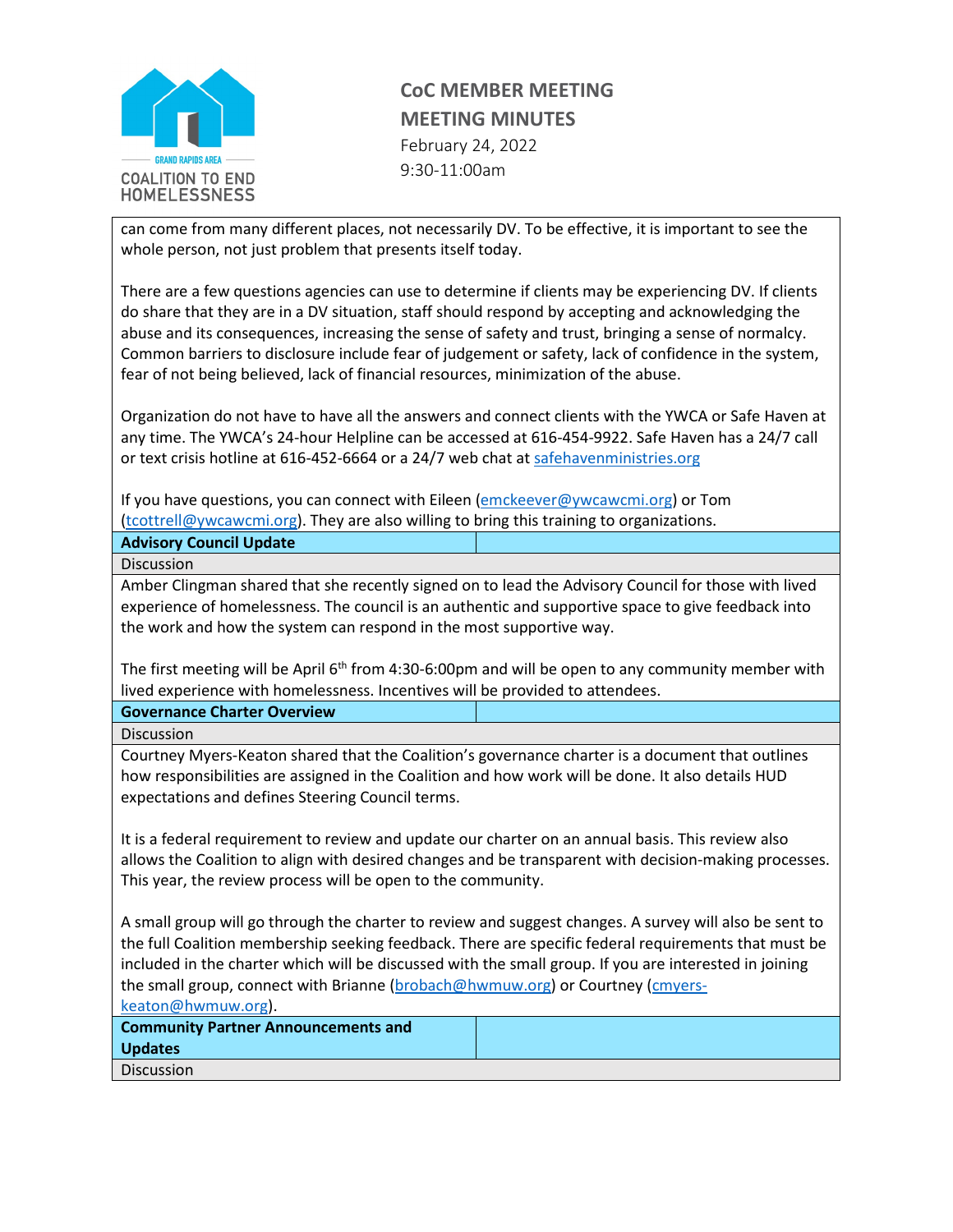

## **CoC MEMBER MEETING MEETING MINUTES** February 24, 2022

9:30-11:00am

can come from many different places, not necessarily DV. To be effective, it is important to see the whole person, not just problem that presents itself today.

There are a few questions agencies can use to determine if clients may be experiencing DV. If clients do share that they are in a DV situation, staff should respond by accepting and acknowledging the abuse and its consequences, increasing the sense of safety and trust, bringing a sense of normalcy. Common barriers to disclosure include fear of judgement or safety, lack of confidence in the system, fear of not being believed, lack of financial resources, minimization of the abuse.

Organization do not have to have all the answers and connect clients with the YWCA or Safe Haven at any time. The YWCA's 24-hour Helpline can be accessed at 616-454-9922. Safe Haven has a 24/7 call or text crisis hotline at 616-452-6664 or a 24/7 web chat at [safehavenministries.org](https://safehavenministries.org/)

If you have questions, you can connect with Eileen [\(emckeever@ywcawcmi.org\)](mailto:emckeever@ywcawcmi.org) or Tom [\(tcottrell@ywcawcmi.org\)](mailto:tcottrell@ywcawcmi.org). They are also willing to bring this training to organizations.

| <b>Advisory Council Update</b> |  |
|--------------------------------|--|
| <b>Discussion</b>              |  |

Amber Clingman shared that she recently signed on to lead the Advisory Council for those with lived experience of homelessness. The council is an authentic and supportive space to give feedback into the work and how the system can respond in the most supportive way.

The first meeting will be April 6<sup>th</sup> from 4:30-6:00pm and will be open to any community member with lived experience with homelessness. Incentives will be provided to attendees.

**Governance Charter Overview** 

Discussion

Courtney Myers-Keaton shared that the Coalition's governance charter is a document that outlines how responsibilities are assigned in the Coalition and how work will be done. It also details HUD expectations and defines Steering Council terms.

It is a federal requirement to review and update our charter on an annual basis. This review also allows the Coalition to align with desired changes and be transparent with decision-making processes. This year, the review process will be open to the community.

A small group will go through the charter to review and suggest changes. A survey will also be sent to the full Coalition membership seeking feedback. There are specific federal requirements that must be included in the charter which will be discussed with the small group. If you are interested in joining the small group, connect with Brianne [\(brobach@hwmuw.org\)](mailto:brobach@hwmuw.org) or Courtney [\(cmyers](mailto:cmyers-keaton@hwmuw.org)[keaton@hwmuw.org\)](mailto:cmyers-keaton@hwmuw.org).

| <b>Community Partner Announcements and</b> |  |
|--------------------------------------------|--|
| <b>Updates</b>                             |  |
| <b>Discussion</b>                          |  |